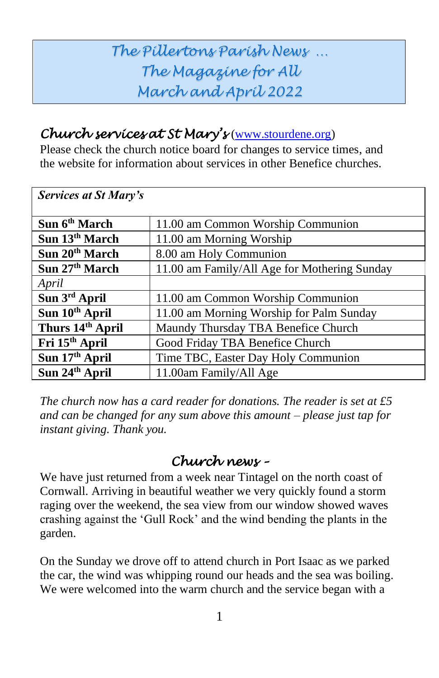# *The Pillertons Parish News … The Magazine for All March and April 2022*

#### *Church services at St Mary's* [\(www.stourdene.org\)](http://www.stourdene.org/)

Please check the church notice board for changes to service times, and the website for information about services in other Benefice churches.

| <b>Services at St Mary's</b> |                                              |
|------------------------------|----------------------------------------------|
|                              |                                              |
| Sun 6 <sup>th</sup> March    | 11.00 am Common Worship Communion            |
| Sun 13 <sup>th</sup> March   | 11.00 am Morning Worship                     |
| Sun 20 <sup>th</sup> March   | 8.00 am Holy Communion                       |
| Sun 27th March               | 11.00 am Family/All Age for Mothering Sunday |
| April                        |                                              |
| Sun 3rd April                | 11.00 am Common Worship Communion            |
| Sun 10th April               | 11.00 am Morning Worship for Palm Sunday     |
| Thurs 14th April             | Maundy Thursday TBA Benefice Church          |
| Fri 15 <sup>th</sup> April   | Good Friday TBA Benefice Church              |
| Sun 17 <sup>th</sup> April   | Time TBC, Easter Day Holy Communion          |
| Sun 24th April               | 11.00am Family/All Age                       |

*The church now has a card reader for donations. The reader is set at £5 and can be changed for any sum above this amount – please just tap for instant giving. Thank you.* 

## *Church news –*

We have just returned from a week near Tintagel on the north coast of Cornwall. Arriving in beautiful weather we very quickly found a storm raging over the weekend, the sea view from our window showed waves crashing against the 'Gull Rock' and the wind bending the plants in the garden.

On the Sunday we drove off to attend church in Port Isaac as we parked the car, the wind was whipping round our heads and the sea was boiling. We were welcomed into the warm church and the service began with a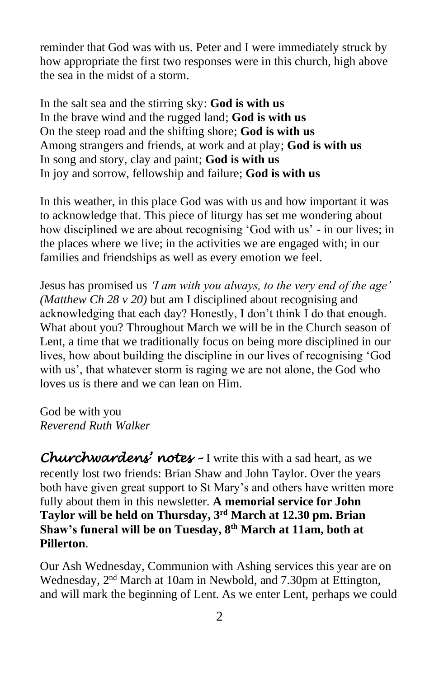reminder that God was with us. Peter and I were immediately struck by how appropriate the first two responses were in this church, high above the sea in the midst of a storm.

In the salt sea and the stirring sky: **God is with us** In the brave wind and the rugged land; **God is with us** On the steep road and the shifting shore; **God is with us** Among strangers and friends, at work and at play; **God is with us** In song and story, clay and paint; **God is with us** In joy and sorrow, fellowship and failure; **God is with us**

In this weather, in this place God was with us and how important it was to acknowledge that. This piece of liturgy has set me wondering about how disciplined we are about recognising 'God with us' - in our lives; in the places where we live; in the activities we are engaged with; in our families and friendships as well as every emotion we feel.

Jesus has promised us *'I am with you always, to the very end of the age' (Matthew Ch 28 v 20)* but am I disciplined about recognising and acknowledging that each day? Honestly, I don't think I do that enough. What about you? Throughout March we will be in the Church season of Lent, a time that we traditionally focus on being more disciplined in our lives, how about building the discipline in our lives of recognising 'God with us', that whatever storm is raging we are not alone, the God who loves us is there and we can lean on Him.

God be with you *Reverend Ruth Walker*

*Churchwardens' notes –* I write this with a sad heart, as we recently lost two friends: Brian Shaw and John Taylor. Over the years both have given great support to St Mary's and others have written more fully about them in this newsletter. **A memorial service for John Taylor will be held on Thursday, 3 rd March at 12.30 pm. Brian Shaw's funeral will be on Tuesday, 8 th March at 11am, both at Pillerton**.

Our Ash Wednesday, Communion with Ashing services this year are on Wednesday, 2<sup>nd</sup> March at 10am in Newbold, and 7.30pm at Ettington, and will mark the beginning of Lent. As we enter Lent, perhaps we could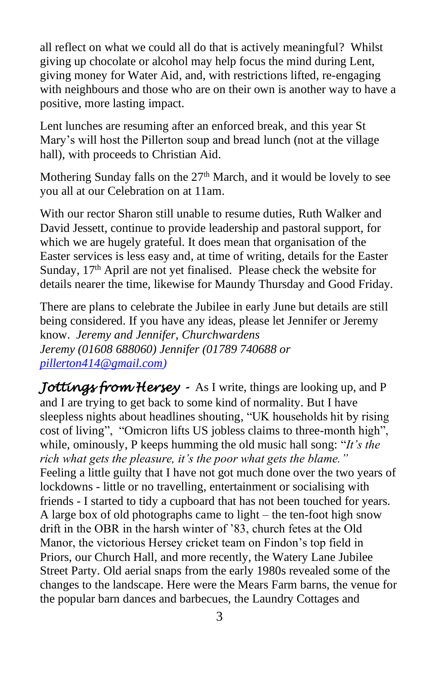all reflect on what we could all do that is actively meaningful? Whilst giving up chocolate or alcohol may help focus the mind during Lent, giving money for Water Aid, and, with restrictions lifted, re-engaging with neighbours and those who are on their own is another way to have a positive, more lasting impact.

Lent lunches are resuming after an enforced break, and this year St Mary's will host the Pillerton soup and bread lunch (not at the village hall), with proceeds to Christian Aid.

Mothering Sunday falls on the  $27<sup>th</sup>$  March, and it would be lovely to see you all at our Celebration on at 11am.

With our rector Sharon still unable to resume duties, Ruth Walker and David Jessett, continue to provide leadership and pastoral support, for which we are hugely grateful. It does mean that organisation of the Easter services is less easy and, at time of writing, details for the Easter Sunday, 17<sup>th</sup> April are not yet finalised. Please check the website for details nearer the time, likewise for Maundy Thursday and Good Friday.

There are plans to celebrate the Jubilee in early June but details are still being considered. If you have any ideas, please let Jennifer or Jeremy know. *Jeremy and Jennifer, Churchwardens Jeremy (01608 688060) Jennifer (01789 740688 or [pillerton414@gmail.com\)](mailto:pillerton414@gmail.com)*

*Jottings from Hersey -* As I write, things are looking up, and P and I are trying to get back to some kind of normality. But I have sleepless nights about headlines shouting, "UK households hit by rising cost of living", "Omicron lifts US jobless claims to three-month high", while, ominously, P keeps humming the old music hall song: "*It's the rich what gets the pleasure, it's the poor what gets the blame."* Feeling a little guilty that I have not got much done over the two years of lockdowns - little or no travelling, entertainment or socialising with friends - I started to tidy a cupboard that has not been touched for years. A large box of old photographs came to light – the ten-foot high snow drift in the OBR in the harsh winter of '83, church fetes at the Old Manor, the victorious Hersey cricket team on Findon's top field in Priors, our Church Hall, and more recently, the Watery Lane Jubilee Street Party. Old aerial snaps from the early 1980s revealed some of the changes to the landscape. Here were the Mears Farm barns, the venue for the popular barn dances and barbecues, the Laundry Cottages and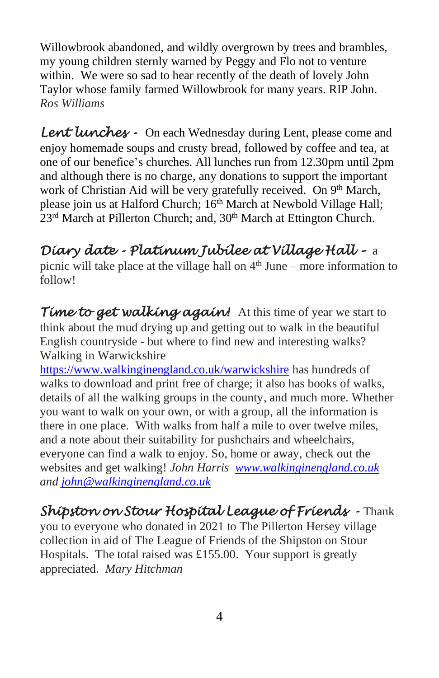Willowbrook abandoned, and wildly overgrown by trees and brambles, my young children sternly warned by Peggy and Flo not to venture within. We were so sad to hear recently of the death of lovely John Taylor whose family farmed Willowbrook for many years. RIP John. *Ros Williams*

*Lent lunches -* On each Wednesday during Lent, please come and enjoy homemade soups and crusty bread, followed by coffee and tea, at one of our benefice's churches. All lunches run from 12.30pm until 2pm and although there is no charge, any donations to support the important work of Christian Aid will be very gratefully received. On 9<sup>th</sup> March, please join us at Halford Church; 16<sup>th</sup> March at Newbold Village Hall; 23<sup>rd</sup> March at Pillerton Church; and, 30<sup>th</sup> March at Ettington Church.

# *Diary date - Platinum Jubilee at Village Hall –* a

picnic will take place at the village hall on  $4<sup>th</sup>$  June – more information to follow!

*Time to get walking again!* At this time of year we start to think about the mud drying up and getting out to walk in the beautiful English countryside - but where to find new and interesting walks? Walking in Warwickshire

<https://www.walkinginengland.co.uk/warwickshire> has hundreds of walks to download and print free of charge; it also has books of walks, details of all the walking groups in the county, and much more. Whether you want to walk on your own, or with a group, all the information is there in one place. With walks from half a mile to over twelve miles, and a note about their suitability for pushchairs and wheelchairs, everyone can find a walk to enjoy. So, home or away, check out the websites and get walking! *John Harris [www.walkinginengland.co.uk](http://www.walkinginengland.co.uk/) and [john@walkinginengland.co.uk](mailto:john@walkinginengland.co.uk)*

## *Shipston on Stour Hospital League of Friends -* Thank

you to everyone who donated in 2021 to The Pillerton Hersey village collection in aid of The League of Friends of the Shipston on Stour Hospitals. The total raised was £155.00. Your support is greatly appreciated. *Mary Hitchman*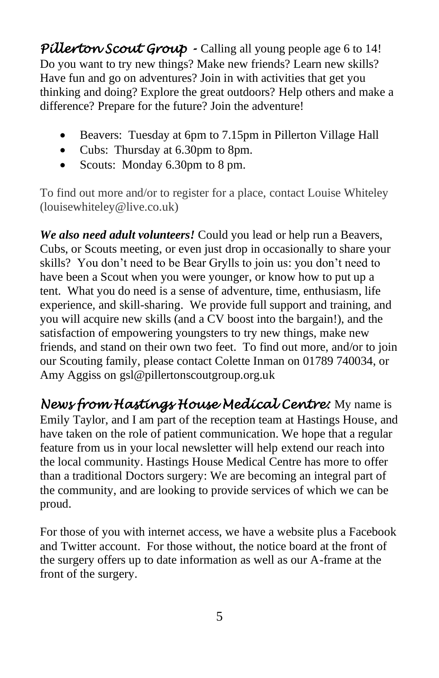Pillerton Scout Group - Calling all young people age 6 to 14! Do you want to try new things? Make new friends? Learn new skills? Have fun and go on adventures? Join in with activities that get you thinking and doing? Explore the great outdoors? Help others and make a difference? Prepare for the future? Join the adventure!

- Beavers: Tuesday at 6pm to 7.15pm in Pillerton Village Hall
- Cubs: Thursday at 6.30pm to 8pm.
- Scouts: Monday 6.30pm to 8 pm.

To find out more and/or to register for a place, contact Louise Whiteley (louisewhiteley@live.co.uk)

*We also need adult volunteers!* Could you lead or help run a Beavers, Cubs, or Scouts meeting, or even just drop in occasionally to share your skills? You don't need to be Bear Grylls to join us: you don't need to have been a Scout when you were younger, or know how to put up a tent. What you do need is a sense of adventure, time, enthusiasm, life experience, and skill-sharing. We provide full support and training, and you will acquire new skills (and a CV boost into the bargain!), and the satisfaction of empowering youngsters to try new things, make new friends, and stand on their own two feet. To find out more, and/or to join our Scouting family, please contact Colette Inman on 01789 740034, or Amy Aggiss on gsl@pillertonscoutgroup.org.uk

*News from Hastings House Medical Centre:* My name is Emily Taylor, and I am part of the reception team at Hastings House, and have taken on the role of patient communication. We hope that a regular feature from us in your local newsletter will help extend our reach into the local community. Hastings House Medical Centre has more to offer than a traditional Doctors surgery: We are becoming an integral part of the community, and are looking to provide services of which we can be proud.

For those of you with internet access, we have a website plus a Facebook and Twitter account. For those without, the notice board at the front of the surgery offers up to date information as well as our A-frame at the front of the surgery.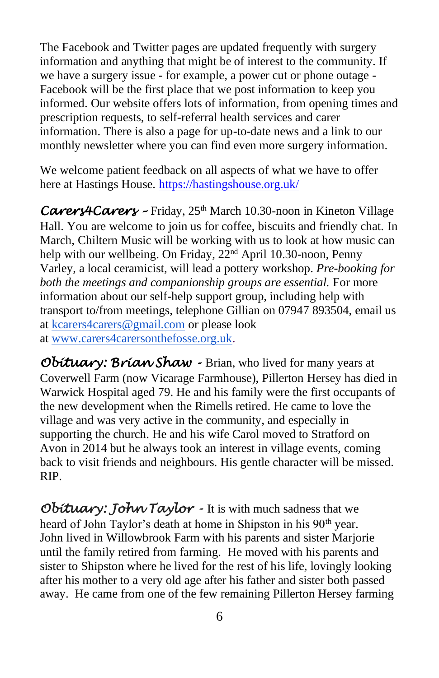The Facebook and Twitter pages are updated frequently with surgery information and anything that might be of interest to the community. If we have a surgery issue - for example, a power cut or phone outage - Facebook will be the first place that we post information to keep you informed. Our website offers lots of information, from opening times and prescription requests, to self-referral health services and carer information. There is also a page for up-to-date news and a link to our monthly newsletter where you can find even more surgery information.

We welcome patient feedback on all aspects of what we have to offer here at Hastings House. <https://hastingshouse.org.uk/>

*Carers4Carers –* Friday, 25th March 10.30-noon in Kineton Village Hall. You are welcome to join us for coffee, biscuits and friendly chat. In March, Chiltern Music will be working with us to look at how music can help with our wellbeing. On Friday, 22<sup>nd</sup> April 10.30-noon, Penny Varley, a local ceramicist, will lead a pottery workshop. *Pre-booking for both the meetings and companionship groups are essential.* For more information about our self-help support group, including help with transport to/from meetings, telephone Gillian on 07947 893504, email us at [kcarers4carers@gmail.com](mailto:kcarers4carers@gmail.com) or please look at [www.carers4carersonthefosse.org.uk.](http://www.carers4carersonthefosse.org.uk/)

*Obituary: Brian Shaw -* Brian, who lived for many years at Coverwell Farm (now Vicarage Farmhouse), Pillerton Hersey has died in Warwick Hospital aged 79. He and his family were the first occupants of the new development when the Rimells retired. He came to love the village and was very active in the community, and especially in supporting the church. He and his wife Carol moved to Stratford on Avon in 2014 but he always took an interest in village events, coming back to visit friends and neighbours. His gentle character will be missed. RIP.

*Obituary: John Taylor -* It is with much sadness that we heard of John Taylor's death at home in Shipston in his 90<sup>th</sup> year. John lived in Willowbrook Farm with his parents and sister Marjorie until the family retired from farming. He moved with his parents and sister to Shipston where he lived for the rest of his life, lovingly looking after his mother to a very old age after his father and sister both passed away. He came from one of the few remaining Pillerton Hersey farming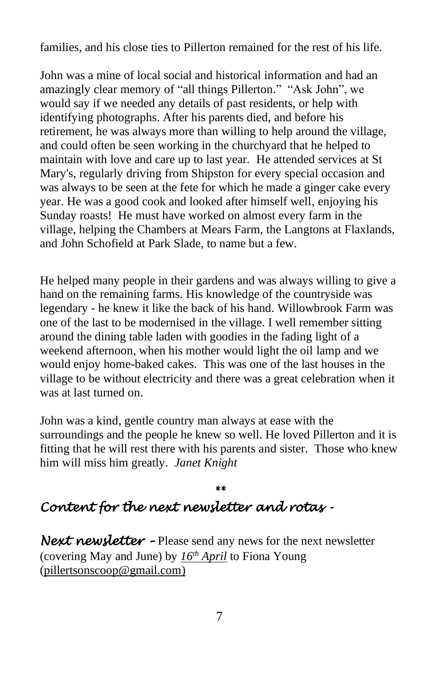families, and his close ties to Pillerton remained for the rest of his life.

John was a mine of local social and historical information and had an amazingly clear memory of "all things Pillerton." "Ask John", we would say if we needed any details of past residents, or help with identifying photographs. After his parents died, and before his retirement, he was always more than willing to help around the village, and could often be seen working in the churchyard that he helped to maintain with love and care up to last year. He attended services at St Mary's, regularly driving from Shipston for every special occasion and was always to be seen at the fete for which he made a ginger cake every year. He was a good cook and looked after himself well, enjoying his Sunday roasts! He must have worked on almost every farm in the village, helping the Chambers at Mears Farm, the Langtons at Flaxlands, and John Schofield at Park Slade, to name but a few.

He helped many people in their gardens and was always willing to give a hand on the remaining farms. His knowledge of the countryside was legendary - he knew it like the back of his hand. Willowbrook Farm was one of the last to be modernised in the village. I well remember sitting around the dining table laden with goodies in the fading light of a weekend afternoon, when his mother would light the oil lamp and we would enjoy home-baked cakes. This was one of the last houses in the village to be without electricity and there was a great celebration when it was at last turned on.

John was a kind, gentle country man always at ease with the surroundings and the people he knew so well. He loved Pillerton and it is fitting that he will rest there with his parents and sister. Those who knew him will miss him greatly. *Janet Knight*

#### *\*\* Content for the next newsletter and rotas -*

*Next newsletter -* Please send any news for the next newsletter (covering May and June) by *16th April* to Fiona Young [\(pillertsonscoop@gmail.com\)](mailto:pillertsonscoop@gmail.com)